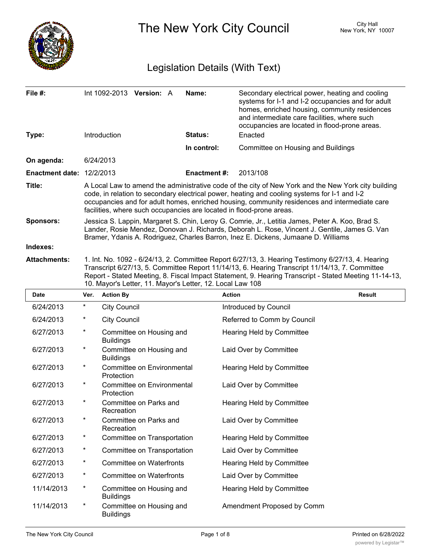

The New York City Council New York, NY 10007

# Legislation Details (With Text)

| File #:<br>Type:                 | Int $1092-2013$ Version: A<br><b>Introduction</b>                                                                                                                                                                                                                                                                                                                            |  |  | Name:<br><b>Status:</b> | Secondary electrical power, heating and cooling<br>systems for I-1 and I-2 occupancies and for adult<br>homes, enriched housing, community residences<br>and intermediate care facilities, where such<br>occupancies are located in flood-prone areas.<br>Enacted |  |
|----------------------------------|------------------------------------------------------------------------------------------------------------------------------------------------------------------------------------------------------------------------------------------------------------------------------------------------------------------------------------------------------------------------------|--|--|-------------------------|-------------------------------------------------------------------------------------------------------------------------------------------------------------------------------------------------------------------------------------------------------------------|--|
|                                  |                                                                                                                                                                                                                                                                                                                                                                              |  |  | In control:             | Committee on Housing and Buildings                                                                                                                                                                                                                                |  |
| On agenda:                       | 6/24/2013                                                                                                                                                                                                                                                                                                                                                                    |  |  |                         |                                                                                                                                                                                                                                                                   |  |
| <b>Enactment date: 12/2/2013</b> |                                                                                                                                                                                                                                                                                                                                                                              |  |  | <b>Enactment #:</b>     | 2013/108                                                                                                                                                                                                                                                          |  |
| Title:                           | A Local Law to amend the administrative code of the city of New York and the New York city building<br>code, in relation to secondary electrical power, heating and cooling systems for I-1 and I-2<br>occupancies and for adult homes, enriched housing, community residences and intermediate care<br>facilities, where such occupancies are located in flood-prone areas. |  |  |                         |                                                                                                                                                                                                                                                                   |  |
| <b>Sponsors:</b>                 | Jessica S. Lappin, Margaret S. Chin, Leroy G. Comrie, Jr., Letitia James, Peter A. Koo, Brad S.<br>Lander, Rosie Mendez, Donovan J. Richards, Deborah L. Rose, Vincent J. Gentile, James G. Van<br>Bramer, Ydanis A. Rodriguez, Charles Barron, Inez E. Dickens, Jumaane D. Williams                                                                                         |  |  |                         |                                                                                                                                                                                                                                                                   |  |
| Indexes:                         |                                                                                                                                                                                                                                                                                                                                                                              |  |  |                         |                                                                                                                                                                                                                                                                   |  |
| <b>Attachments:</b>              | 1. Int. No. 1092 - 6/24/13, 2. Committee Report 6/27/13, 3. Hearing Testimony 6/27/13, 4. Hearing<br>Transcript 6/27/13, 5. Committee Report 11/14/13, 6. Hearing Transcript 11/14/13, 7. Committee                                                                                                                                                                          |  |  |                         |                                                                                                                                                                                                                                                                   |  |

Report - Stated Meeting, 8. Fiscal Impact Statement, 9. Hearing Transcript - Stated Meeting 11-14-13, 10. Mayor's Letter, 11. Mayor's Letter, 12. Local Law 108

| <b>Date</b> | Ver.     | <b>Action By</b>                             | <b>Action</b>               | <b>Result</b> |
|-------------|----------|----------------------------------------------|-----------------------------|---------------|
| 6/24/2013   | $\star$  | <b>City Council</b>                          | Introduced by Council       |               |
| 6/24/2013   | $\ast$   | <b>City Council</b>                          | Referred to Comm by Council |               |
| 6/27/2013   | $\star$  | Committee on Housing and<br><b>Buildings</b> | Hearing Held by Committee   |               |
| 6/27/2013   | $^\ast$  | Committee on Housing and<br><b>Buildings</b> | Laid Over by Committee      |               |
| 6/27/2013   | $^\star$ | Committee on Environmental<br>Protection     | Hearing Held by Committee   |               |
| 6/27/2013   | $^\ast$  | Committee on Environmental<br>Protection     | Laid Over by Committee      |               |
| 6/27/2013   | $^\star$ | Committee on Parks and<br>Recreation         | Hearing Held by Committee   |               |
| 6/27/2013   | $^\star$ | Committee on Parks and<br>Recreation         | Laid Over by Committee      |               |
| 6/27/2013   | $^\ast$  | Committee on Transportation                  | Hearing Held by Committee   |               |
| 6/27/2013   | $\ast$   | Committee on Transportation                  | Laid Over by Committee      |               |
| 6/27/2013   | $^\star$ | Committee on Waterfronts                     | Hearing Held by Committee   |               |
| 6/27/2013   | $\ast$   | Committee on Waterfronts                     | Laid Over by Committee      |               |
| 11/14/2013  | $^\star$ | Committee on Housing and<br><b>Buildings</b> | Hearing Held by Committee   |               |
| 11/14/2013  | $^\ast$  | Committee on Housing and<br><b>Buildings</b> | Amendment Proposed by Comm  |               |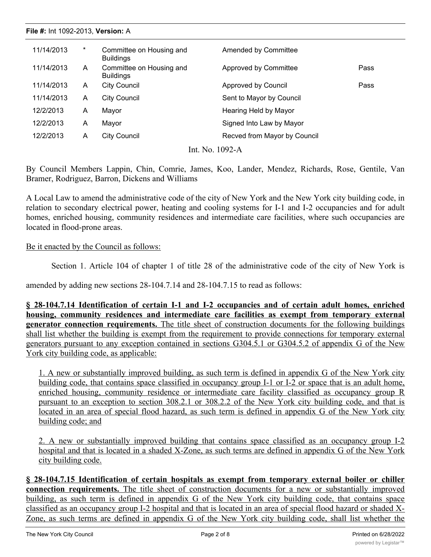| File #: Int 1092-2013, Version: A |         |                                              |                              |      |  |  |  |
|-----------------------------------|---------|----------------------------------------------|------------------------------|------|--|--|--|
| 11/14/2013                        | $^\ast$ | Committee on Housing and<br><b>Buildings</b> | Amended by Committee         |      |  |  |  |
| 11/14/2013                        | A       | Committee on Housing and<br><b>Buildings</b> | Approved by Committee        | Pass |  |  |  |
| 11/14/2013                        | A       | <b>City Council</b>                          | Approved by Council          | Pass |  |  |  |
| 11/14/2013                        | A       | <b>City Council</b>                          | Sent to Mayor by Council     |      |  |  |  |
| 12/2/2013                         | A       | Mayor                                        | Hearing Held by Mayor        |      |  |  |  |
| 12/2/2013                         | A       | Mayor                                        | Signed Into Law by Mayor     |      |  |  |  |
| 12/2/2013                         | A       | <b>City Council</b>                          | Recved from Mayor by Council |      |  |  |  |
|                                   |         |                                              | Int. No. 1092-A              |      |  |  |  |

By Council Members Lappin, Chin, Comrie, James, Koo, Lander, Mendez, Richards, Rose, Gentile, Van Bramer, Rodriguez, Barron, Dickens and Williams

A Local Law to amend the administrative code of the city of New York and the New York city building code, in relation to secondary electrical power, heating and cooling systems for I-1 and I-2 occupancies and for adult homes, enriched housing, community residences and intermediate care facilities, where such occupancies are located in flood-prone areas.

#### Be it enacted by the Council as follows:

Section 1. Article 104 of chapter 1 of title 28 of the administrative code of the city of New York is

amended by adding new sections 28-104.7.14 and 28-104.7.15 to read as follows:

**§ 28-104.7.14 Identification of certain I-1 and I-2 occupancies and of certain adult homes, enriched housing, community residences and intermediate care facilities as exempt from temporary external generator connection requirements.** The title sheet of construction documents for the following buildings shall list whether the building is exempt from the requirement to provide connections for temporary external generators pursuant to any exception contained in sections G304.5.1 or G304.5.2 of appendix G of the New York city building code, as applicable:

1. A new or substantially improved building, as such term is defined in appendix G of the New York city building code, that contains space classified in occupancy group I-1 or I-2 or space that is an adult home, enriched housing, community residence or intermediate care facility classified as occupancy group R pursuant to an exception to section 308.2.1 or 308.2.2 of the New York city building code, and that is located in an area of special flood hazard, as such term is defined in appendix G of the New York city building code; and

2. A new or substantially improved building that contains space classified as an occupancy group I-2 hospital and that is located in a shaded X-Zone, as such terms are defined in appendix G of the New York city building code.

**§ 28-104.7.15 Identification of certain hospitals as exempt from temporary external boiler or chiller connection requirements.** The title sheet of construction documents for a new or substantially improved building, as such term is defined in appendix G of the New York city building code, that contains space classified as an occupancy group I-2 hospital and that is located in an area of special flood hazard or shaded X-Zone, as such terms are defined in appendix G of the New York city building code, shall list whether the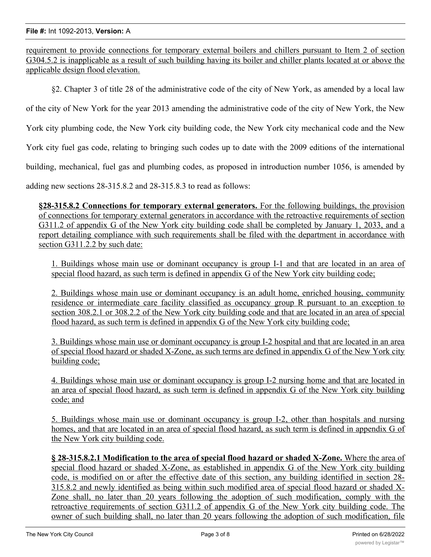requirement to provide connections for temporary external boilers and chillers pursuant to Item 2 of section G304.5.2 is inapplicable as a result of such building having its boiler and chiller plants located at or above the applicable design flood elevation.

§2. Chapter 3 of title 28 of the administrative code of the city of New York, as amended by a local law

of the city of New York for the year 2013 amending the administrative code of the city of New York, the New

York city plumbing code, the New York city building code, the New York city mechanical code and the New

York city fuel gas code, relating to bringing such codes up to date with the 2009 editions of the international

building, mechanical, fuel gas and plumbing codes, as proposed in introduction number 1056, is amended by

adding new sections 28-315.8.2 and 28-315.8.3 to read as follows:

**§28-315.8.2 Connections for temporary external generators.** For the following buildings, the provision of connections for temporary external generators in accordance with the retroactive requirements of section G311.2 of appendix G of the New York city building code shall be completed by January 1, 2033, and a report detailing compliance with such requirements shall be filed with the department in accordance with section G311.2.2 by such date:

1. Buildings whose main use or dominant occupancy is group I-1 and that are located in an area of special flood hazard, as such term is defined in appendix G of the New York city building code;

2. Buildings whose main use or dominant occupancy is an adult home, enriched housing, community residence or intermediate care facility classified as occupancy group R pursuant to an exception to section 308.2.1 or 308.2.2 of the New York city building code and that are located in an area of special flood hazard, as such term is defined in appendix G of the New York city building code;

3. Buildings whose main use or dominant occupancy is group I-2 hospital and that are located in an area of special flood hazard or shaded X-Zone, as such terms are defined in appendix G of the New York city building code;

4. Buildings whose main use or dominant occupancy is group I-2 nursing home and that are located in an area of special flood hazard, as such term is defined in appendix G of the New York city building code; and

5. Buildings whose main use or dominant occupancy is group I-2, other than hospitals and nursing homes, and that are located in an area of special flood hazard, as such term is defined in appendix G of the New York city building code.

**§ 28-315.8.2.1 Modification to the area of special flood hazard or shaded X-Zone.** Where the area of special flood hazard or shaded X-Zone, as established in appendix G of the New York city building code, is modified on or after the effective date of this section, any building identified in section 28- 315.8.2 and newly identified as being within such modified area of special flood hazard or shaded X-Zone shall, no later than 20 years following the adoption of such modification, comply with the retroactive requirements of section G311.2 of appendix G of the New York city building code. The owner of such building shall, no later than 20 years following the adoption of such modification, file

with the department a report detailing compliance with such requirements in accordance with such requirements in  $\mathcal{L}_\mathbf{r}$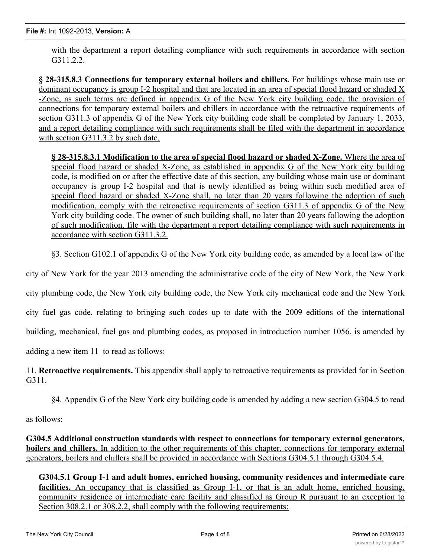with the department a report detailing compliance with such requirements in accordance with section G311.2.2.

**§ 28-315.8.3 Connections for temporary external boilers and chillers.** For buildings whose main use or dominant occupancy is group I-2 hospital and that are located in an area of special flood hazard or shaded X -Zone, as such terms are defined in appendix G of the New York city building code, the provision of connections for temporary external boilers and chillers in accordance with the retroactive requirements of section G311.3 of appendix G of the New York city building code shall be completed by January 1, 2033, and a report detailing compliance with such requirements shall be filed with the department in accordance with section G311.3.2 by such date.

**§ 28-315.8.3.1 Modification to the area of special flood hazard or shaded X-Zone.** Where the area of special flood hazard or shaded X-Zone, as established in appendix G of the New York city building code, is modified on or after the effective date of this section, any building whose main use or dominant occupancy is group I-2 hospital and that is newly identified as being within such modified area of special flood hazard or shaded X-Zone shall, no later than 20 years following the adoption of such modification, comply with the retroactive requirements of section G311.3 of appendix G of the New York city building code. The owner of such building shall, no later than 20 years following the adoption of such modification, file with the department a report detailing compliance with such requirements in accordance with section G311.3.2.

§3. Section G102.1 of appendix G of the New York city building code, as amended by a local law of the

city of New York for the year 2013 amending the administrative code of the city of New York, the New York

city plumbing code, the New York city building code, the New York city mechanical code and the New York

city fuel gas code, relating to bringing such codes up to date with the 2009 editions of the international

building, mechanical, fuel gas and plumbing codes, as proposed in introduction number 1056, is amended by

adding a new item 11 to read as follows:

11. **Retroactive requirements.** This appendix shall apply to retroactive requirements as provided for in Section G311.

§4. Appendix G of the New York city building code is amended by adding a new section G304.5 to read

as follows:

**G304.5 Additional construction standards with respect to connections for temporary external generators, boilers and chillers.** In addition to the other requirements of this chapter, connections for temporary external generators, boilers and chillers shall be provided in accordance with Sections G304.5.1 through G304.5.4.

**G304.5.1 Group I-1 and adult homes, enriched housing, community residences and intermediate care** facilities. An occupancy that is classified as Group I-1, or that is an adult home, enriched housing, community residence or intermediate care facility and classified as Group R pursuant to an exception to Section 308.2.1 or 308.2.2, shall comply with the following requirements: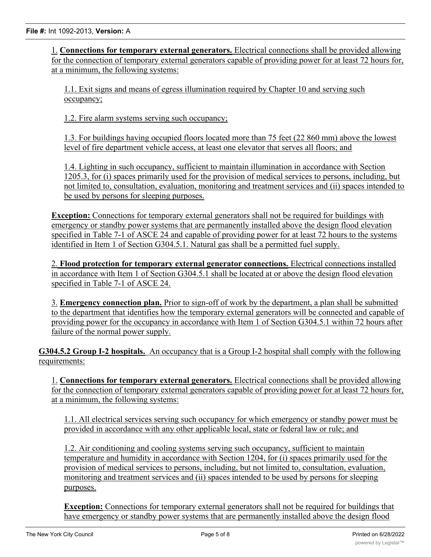1. **Connections for temporary external generators.** Electrical connections shall be provided allowing for the connection of temporary external generators capable of providing power for at least 72 hours for, at a minimum, the following systems:

1.1. Exit signs and means of egress illumination required by Chapter 10 and serving such occupancy;

1.2. Fire alarm systems serving such occupancy;

1.3. For buildings having occupied floors located more than 75 feet (22 860 mm) above the lowest level of fire department vehicle access, at least one elevator that serves all floors; and

1.4. Lighting in such occupancy, sufficient to maintain illumination in accordance with Section 1205.3, for (i) spaces primarily used for the provision of medical services to persons, including, but not limited to, consultation, evaluation, monitoring and treatment services and (ii) spaces intended to be used by persons for sleeping purposes.

**Exception:** Connections for temporary external generators shall not be required for buildings with emergency or standby power systems that are permanently installed above the design flood elevation specified in Table 7-1 of ASCE 24 and capable of providing power for at least 72 hours to the systems identified in Item 1 of Section G304.5.1. Natural gas shall be a permitted fuel supply.

2. **Flood protection for temporary external generator connections.** Electrical connections installed in accordance with Item 1 of Section G304.5.1 shall be located at or above the design flood elevation specified in Table 7-1 of ASCE 24.

3. **Emergency connection plan.** Prior to sign-off of work by the department, a plan shall be submitted to the department that identifies how the temporary external generators will be connected and capable of providing power for the occupancy in accordance with Item 1 of Section G304.5.1 within 72 hours after failure of the normal power supply.

**G304.5.2 Group I-2 hospitals.** An occupancy that is a Group I-2 hospital shall comply with the following requirements:

1. **Connections for temporary external generators.** Electrical connections shall be provided allowing for the connection of temporary external generators capable of providing power for at least 72 hours for, at a minimum, the following systems:

1.1. All electrical services serving such occupancy for which emergency or standby power must be provided in accordance with any other applicable local, state or federal law or rule; and

1.2. Air conditioning and cooling systems serving such occupancy, sufficient to maintain temperature and humidity in accordance with Section 1204, for (i) spaces primarily used for the provision of medical services to persons, including, but not limited to, consultation, evaluation, monitoring and treatment services and (ii) spaces intended to be used by persons for sleeping purposes.

**Exception:** Connections for temporary external generators shall not be required for buildings that have emergency or standby power systems that are permanently installed above the design flood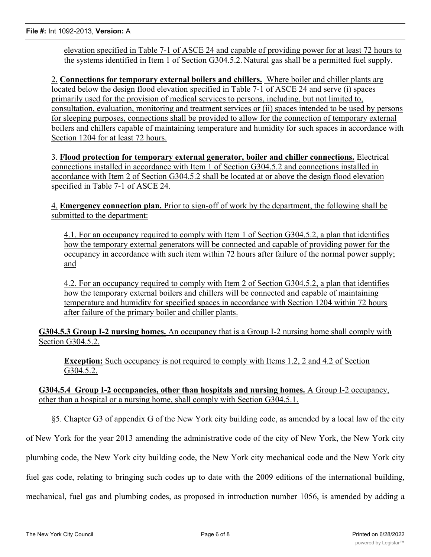elevation specified in Table 7-1 of ASCE 24 and capable of providing power for at least 72 hours to the systems identified in Item 1 of Section G304.5.2. Natural gas shall be a permitted fuel supply.

2. **Connections for temporary external boilers and chillers.** Where boiler and chiller plants are located below the design flood elevation specified in Table 7-1 of ASCE 24 and serve (i) spaces primarily used for the provision of medical services to persons, including, but not limited to, consultation, evaluation, monitoring and treatment services or (ii) spaces intended to be used by persons for sleeping purposes, connections shall be provided to allow for the connection of temporary external boilers and chillers capable of maintaining temperature and humidity for such spaces in accordance with Section 1204 for at least 72 hours.

3. **Flood protection for temporary external generator, boiler and chiller connections.** Electrical connections installed in accordance with Item 1 of Section G304.5.2 and connections installed in accordance with Item 2 of Section G304.5.2 shall be located at or above the design flood elevation specified in Table 7-1 of ASCE 24.

4. **Emergency connection plan.** Prior to sign-off of work by the department, the following shall be submitted to the department:

4.1. For an occupancy required to comply with Item 1 of Section G304.5.2, a plan that identifies how the temporary external generators will be connected and capable of providing power for the occupancy in accordance with such item within 72 hours after failure of the normal power supply; and

4.2. For an occupancy required to comply with Item 2 of Section G304.5.2, a plan that identifies how the temporary external boilers and chillers will be connected and capable of maintaining temperature and humidity for specified spaces in accordance with Section 1204 within 72 hours after failure of the primary boiler and chiller plants.

**G304.5.3 Group I-2 nursing homes.** An occupancy that is a Group I-2 nursing home shall comply with Section G304.5.2.

**Exception:** Such occupancy is not required to comply with Items 1.2, 2 and 4.2 of Section G304.5.2.

**G304.5.4 Group I-2 occupancies, other than hospitals and nursing homes.** A Group I-2 occupancy, other than a hospital or a nursing home, shall comply with Section G304.5.1.

§5. Chapter G3 of appendix G of the New York city building code, as amended by a local law of the city of New York for the year 2013 amending the administrative code of the city of New York, the New York city plumbing code, the New York city building code, the New York city mechanical code and the New York city fuel gas code, relating to bringing such codes up to date with the 2009 editions of the international building,

mechanical, fuel gas and plumbing codes, as proposed in introduction number 1056, is amended by adding a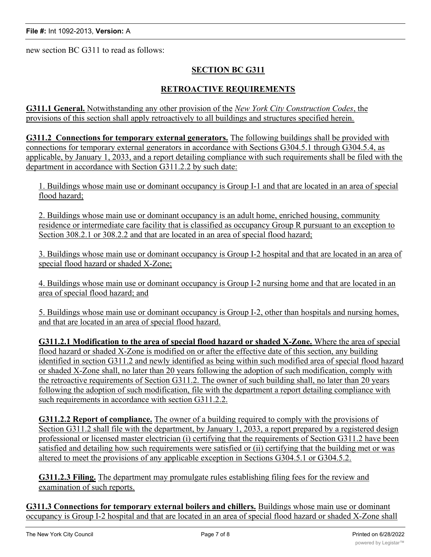new section BC G311 to read as follows:

## **SECTION BC G311**

### **RETROACTIVE REQUIREMENTS**

**G311.1 General.** Notwithstanding any other provision of the *New York City Construction Codes*, the provisions of this section shall apply retroactively to all buildings and structures specified herein.

**G311.2 Connections for temporary external generators.** The following buildings shall be provided with connections for temporary external generators in accordance with Sections G304.5.1 through G304.5.4, as applicable, by January 1, 2033, and a report detailing compliance with such requirements shall be filed with the department in accordance with Section G311.2.2 by such date:

1. Buildings whose main use or dominant occupancy is Group I-1 and that are located in an area of special flood hazard;

2. Buildings whose main use or dominant occupancy is an adult home, enriched housing, community residence or intermediate care facility that is classified as occupancy Group R pursuant to an exception to Section 308.2.1 or 308.2.2 and that are located in an area of special flood hazard;

3. Buildings whose main use or dominant occupancy is Group I-2 hospital and that are located in an area of special flood hazard or shaded X-Zone;

4. Buildings whose main use or dominant occupancy is Group I-2 nursing home and that are located in an area of special flood hazard; and

5. Buildings whose main use or dominant occupancy is Group I-2, other than hospitals and nursing homes, and that are located in an area of special flood hazard.

**G311.2.1 Modification to the area of special flood hazard or shaded X-Zone.** Where the area of special flood hazard or shaded X-Zone is modified on or after the effective date of this section, any building identified in section G311.2 and newly identified as being within such modified area of special flood hazard or shaded X-Zone shall, no later than 20 years following the adoption of such modification, comply with the retroactive requirements of Section G311.2. The owner of such building shall, no later than 20 years following the adoption of such modification, file with the department a report detailing compliance with such requirements in accordance with section G311.2.2.

**G311.2.2 Report of compliance.** The owner of a building required to comply with the provisions of Section G311.2 shall file with the department, by January 1, 2033, a report prepared by a registered design professional or licensed master electrician (i) certifying that the requirements of Section G311.2 have been satisfied and detailing how such requirements were satisfied or (ii) certifying that the building met or was altered to meet the provisions of any applicable exception in Sections G304.5.1 or G304.5.2.

**G311.2.3 Filing.** The department may promulgate rules establishing filing fees for the review and examination of such reports.

**G311.3 Connections for temporary external boilers and chillers.** Buildings whose main use or dominant occupancy is Group I-2 hospital and that are located in an area of special flood hazard or shaded X-Zone shall